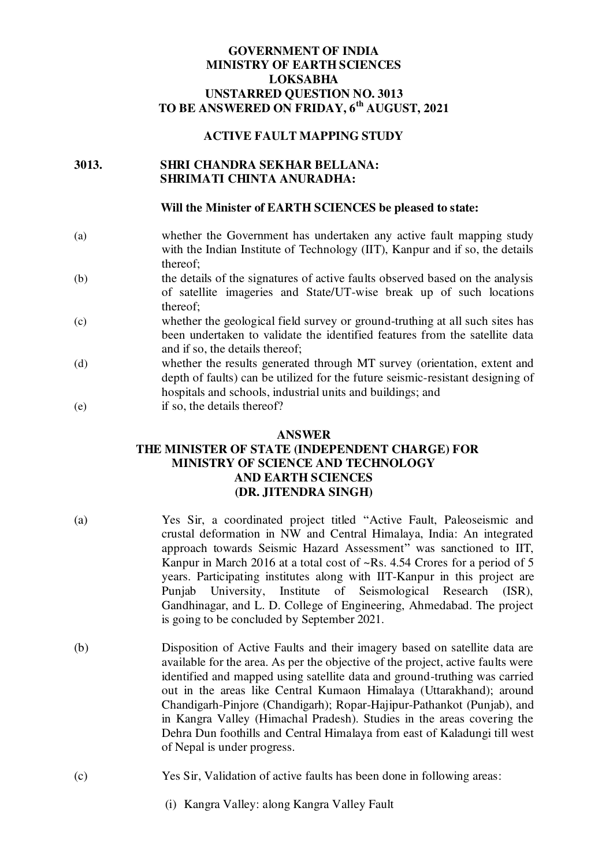## **GOVERNMENT OF INDIA MINISTRY OF EARTH SCIENCES LOKSABHA UNSTARRED QUESTION NO. 3013 TO BE ANSWERED ON FRIDAY, 6th AUGUST, 2021**

#### **ACTIVE FAULT MAPPING STUDY**

### **3013. SHRI CHANDRA SEKHAR BELLANA: SHRIMATI CHINTA ANURADHA:**

#### **Will the Minister of EARTH SCIENCES be pleased to state:**

- (a) whether the Government has undertaken any active fault mapping study with the Indian Institute of Technology (IIT), Kanpur and if so, the details thereof;
- (b) the details of the signatures of active faults observed based on the analysis of satellite imageries and State/UT-wise break up of such locations thereof;
- (c) whether the geological field survey or ground-truthing at all such sites has been undertaken to validate the identified features from the satellite data and if so, the details thereof;
- (d) whether the results generated through MT survey (orientation, extent and depth of faults) can be utilized for the future seismic-resistant designing of hospitals and schools, industrial units and buildings; and
- (e) if so, the details thereof?

#### **ANSWER**

# **THE MINISTER OF STATE (INDEPENDENT CHARGE) FOR MINISTRY OF SCIENCE AND TECHNOLOGY AND EARTH SCIENCES (DR. JITENDRA SINGH)**

- (a) Yes Sir, a coordinated project titled "Active Fault, Paleoseismic and crustal deformation in NW and Central Himalaya, India: An integrated approach towards Seismic Hazard Assessment" was sanctioned to IIT, Kanpur in March 2016 at a total cost of ~Rs. 4.54 Crores for a period of 5 years. Participating institutes along with IIT-Kanpur in this project are Punjab University, Institute of Seismological Research (ISR), Gandhinagar, and L. D. College of Engineering, Ahmedabad. The project is going to be concluded by September 2021.
- (b) Disposition of Active Faults and their imagery based on satellite data are available for the area. As per the objective of the project, active faults were identified and mapped using satellite data and ground-truthing was carried out in the areas like Central Kumaon Himalaya (Uttarakhand); around Chandigarh-Pinjore (Chandigarh); Ropar-Hajipur-Pathankot (Punjab), and in Kangra Valley (Himachal Pradesh). Studies in the areas covering the Dehra Dun foothills and Central Himalaya from east of Kaladungi till west of Nepal is under progress.
- (c) Yes Sir, Validation of active faults has been done in following areas:
	- (i) Kangra Valley: along Kangra Valley Fault